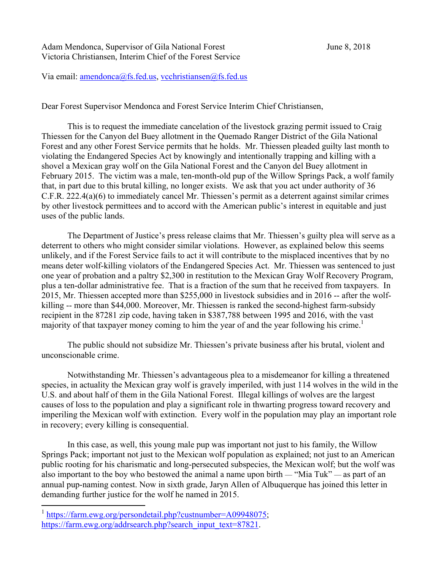Adam Mendonca, Supervisor of Gila National Forest June 8, 2018 Victoria Christiansen, Interim Chief of the Forest Service

Via email:  $amendonca(a)$ fs.fed.us, vcchristiansen $(a)$ fs.fed.us

Dear Forest Supervisor Mendonca and Forest Service Interim Chief Christiansen,

 This is to request the immediate cancelation of the livestock grazing permit issued to Craig Thiessen for the Canyon del Buey allotment in the Quemado Ranger District of the Gila National Forest and any other Forest Service permits that he holds. Mr. Thiessen pleaded guilty last month to violating the Endangered Species Act by knowingly and intentionally trapping and killing with a shovel a Mexican gray wolf on the Gila National Forest and the Canyon del Buey allotment in February 2015. The victim was a male, ten-month-old pup of the Willow Springs Pack, a wolf family that, in part due to this brutal killing, no longer exists. We ask that you act under authority of 36 C.F.R. 222.4(a)(6) to immediately cancel Mr. Thiessen's permit as a deterrent against similar crimes by other livestock permittees and to accord with the American public's interest in equitable and just uses of the public lands.

 The Department of Justice's press release claims that Mr. Thiessen's guilty plea will serve as a deterrent to others who might consider similar violations. However, as explained below this seems unlikely, and if the Forest Service fails to act it will contribute to the misplaced incentives that by no means deter wolf-killing violators of the Endangered Species Act. Mr. Thiessen was sentenced to just one year of probation and a paltry \$2,300 in restitution to the Mexican Gray Wolf Recovery Program, plus a ten-dollar administrative fee. That is a fraction of the sum that he received from taxpayers. In 2015, Mr. Thiessen accepted more than \$255,000 in livestock subsidies and in 2016 -- after the wolfkilling -- more than \$44,000. Moreover, Mr. Thiessen is ranked the second-highest farm-subsidy recipient in the 87281 zip code, having taken in \$387,788 between 1995 and 2016, with the vast majority of that taxpayer money coming to him the year of and the year following his crime.<sup>1</sup>

 The public should not subsidize Mr. Thiessen's private business after his brutal, violent and unconscionable crime.

 Notwithstanding Mr. Thiessen's advantageous plea to a misdemeanor for killing a threatened species, in actuality the Mexican gray wolf is gravely imperiled, with just 114 wolves in the wild in the U.S. and about half of them in the Gila National Forest. Illegal killings of wolves are the largest causes of loss to the population and play a significant role in thwarting progress toward recovery and imperiling the Mexican wolf with extinction. Every wolf in the population may play an important role in recovery; every killing is consequential.

 In this case, as well, this young male pup was important not just to his family, the Willow Springs Pack; important not just to the Mexican wolf population as explained; not just to an American public rooting for his charismatic and long-persecuted subspecies, the Mexican wolf; but the wolf was also important to the boy who bestowed the animal a name upon birth — "Mia Tuk" — as part of an annual pup-naming contest. Now in sixth grade, Jaryn Allen of Albuquerque has joined this letter in demanding further justice for the wolf he named in 2015.

 $\overline{a}$ 

<sup>&</sup>lt;sup>1</sup> https://farm.ewg.org/persondetail.php?custnumber=A09948075; https://farm.ewg.org/addrsearch.php?search\_input\_text=87821.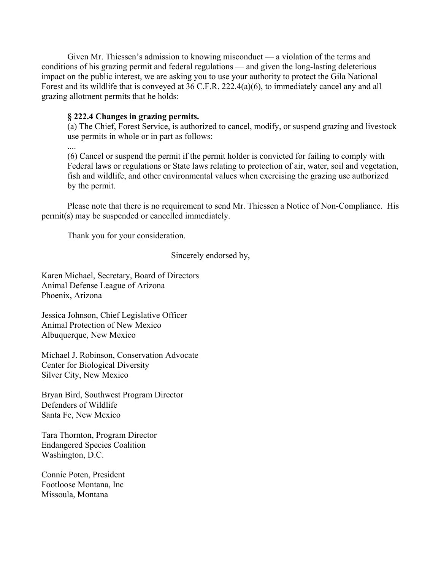Given Mr. Thiessen's admission to knowing misconduct — a violation of the terms and conditions of his grazing permit and federal regulations — and given the long-lasting deleterious impact on the public interest, we are asking you to use your authority to protect the Gila National Forest and its wildlife that is conveyed at 36 C.F.R. 222.4(a)(6), to immediately cancel any and all grazing allotment permits that he holds:

## **§ 222.4 Changes in grazing permits.**

....

(a) The Chief, Forest Service, is authorized to cancel, modify, or suspend grazing and livestock use permits in whole or in part as follows:

(6) Cancel or suspend the permit if the permit holder is convicted for failing to comply with Federal laws or regulations or State laws relating to protection of air, water, soil and vegetation, fish and wildlife, and other environmental values when exercising the grazing use authorized by the permit.

 Please note that there is no requirement to send Mr. Thiessen a Notice of Non-Compliance. His permit(s) may be suspended or cancelled immediately.

Thank you for your consideration.

Sincerely endorsed by,

Karen Michael, Secretary, Board of Directors Animal Defense League of Arizona Phoenix, Arizona

Jessica Johnson, Chief Legislative Officer Animal Protection of New Mexico Albuquerque, New Mexico

Michael J. Robinson, Conservation Advocate Center for Biological Diversity Silver City, New Mexico

Bryan Bird, Southwest Program Director Defenders of Wildlife Santa Fe, New Mexico

Tara Thornton, Program Director Endangered Species Coalition Washington, D.C.

Connie Poten, President Footloose Montana, Inc Missoula, Montana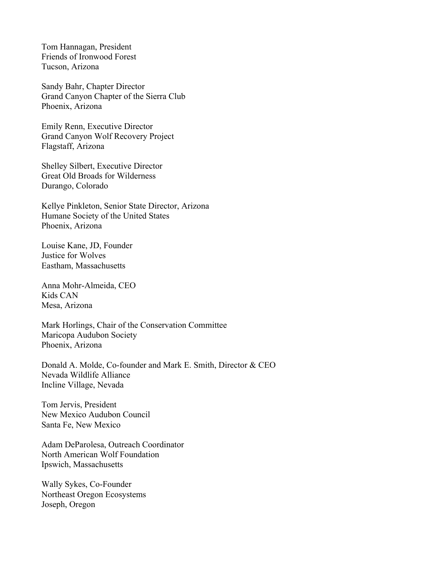Tom Hannagan, President Friends of Ironwood Forest Tucson, Arizona

Sandy Bahr, Chapter Director Grand Canyon Chapter of the Sierra Club Phoenix, Arizona

Emily Renn, Executive Director Grand Canyon Wolf Recovery Project Flagstaff, Arizona

Shelley Silbert, Executive Director Great Old Broads for Wilderness Durango, Colorado

Kellye Pinkleton, Senior State Director, Arizona Humane Society of the United States Phoenix, Arizona

Louise Kane, JD, Founder Justice for Wolves Eastham, Massachusetts

Anna Mohr-Almeida, CEO Kids CAN Mesa, Arizona

Mark Horlings, Chair of the Conservation Committee Maricopa Audubon Society Phoenix, Arizona

Donald A. Molde, Co-founder and Mark E. Smith, Director & CEO Nevada Wildlife Alliance Incline Village, Nevada

Tom Jervis, President New Mexico Audubon Council Santa Fe, New Mexico

Adam DeParolesa, Outreach Coordinator North American Wolf Foundation Ipswich, Massachusetts

Wally Sykes, Co-Founder Northeast Oregon Ecosystems Joseph, Oregon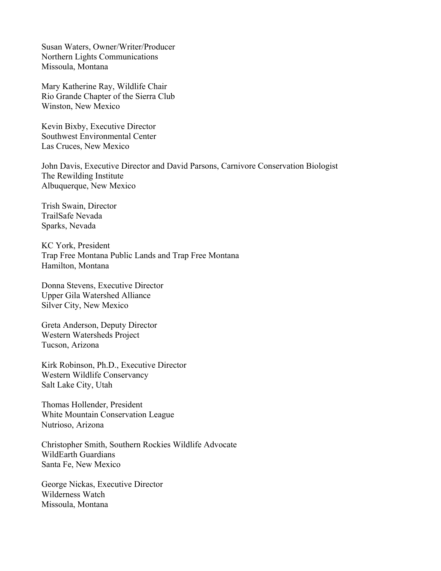Susan Waters, Owner/Writer/Producer Northern Lights Communications Missoula, Montana

Mary Katherine Ray, Wildlife Chair Rio Grande Chapter of the Sierra Club Winston, New Mexico

Kevin Bixby, Executive Director Southwest Environmental Center Las Cruces, New Mexico

John Davis, Executive Director and David Parsons, Carnivore Conservation Biologist The Rewilding Institute Albuquerque, New Mexico

Trish Swain, Director TrailSafe Nevada Sparks, Nevada

KC York, President Trap Free Montana Public Lands and Trap Free Montana Hamilton, Montana

Donna Stevens, Executive Director Upper Gila Watershed Alliance Silver City, New Mexico

Greta Anderson, Deputy Director Western Watersheds Project Tucson, Arizona

Kirk Robinson, Ph.D., Executive Director Western Wildlife Conservancy Salt Lake City, Utah

Thomas Hollender, President White Mountain Conservation League Nutrioso, Arizona

Christopher Smith, Southern Rockies Wildlife Advocate WildEarth Guardians Santa Fe, New Mexico

George Nickas, Executive Director Wilderness Watch Missoula, Montana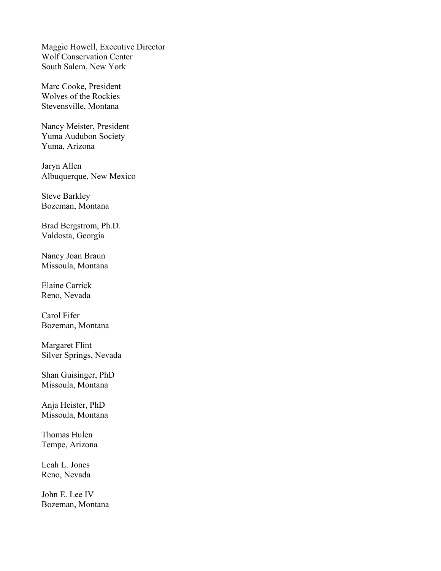Maggie Howell, Executive Director Wolf Conservation Center South Salem, New York

Marc Cooke*,* President Wolves of the Rockies Stevensville, Montana

Nancy Meister, President Yuma Audubon Society Yuma, Arizona

Jaryn Allen Albuquerque, New Mexico

Steve Barkley Bozeman, Montana

Brad Bergstrom, Ph.D. Valdosta, Georgia

Nancy Joan Braun Missoula, Montana

Elaine Carrick Reno, Nevada

Carol Fifer Bozeman, Montana

Margaret Flint Silver Springs, Nevada

Shan Guisinger, PhD Missoula, Montana

Anja Heister, PhD Missoula, Montana

Thomas Hulen Tempe, Arizona

Leah L. Jones Reno, Nevada

John E. Lee IV Bozeman, Montana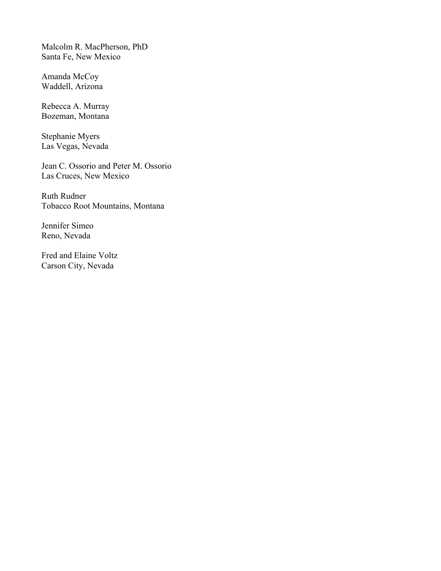Malcolm R. MacPherson, PhD Santa Fe, New Mexico

Amanda McCoy Waddell, Arizona

Rebecca A. Murray Bozeman, Montana

Stephanie Myers Las Vegas, Nevada

Jean C. Ossorio and Peter M. Ossorio Las Cruces, New Mexico

Ruth Rudner Tobacco Root Mountains, Montana

Jennifer Simeo Reno, Nevada

Fred and Elaine Voltz Carson City, Nevada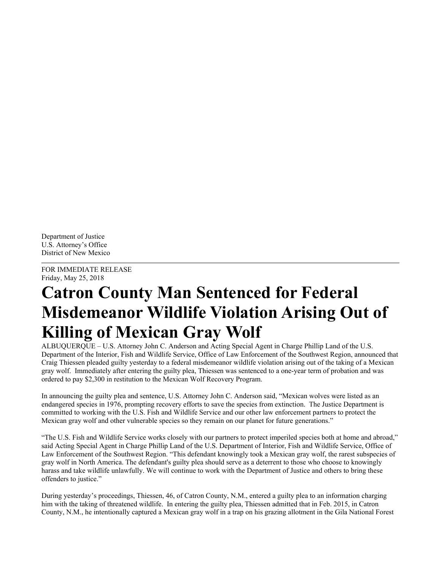Department of Justice U.S. Attorney's Office District of New Mexico

FOR IMMEDIATE RELEASE Friday, May 25, 2018

## **Catron County Man Sentenced for Federal Misdemeanor Wildlife Violation Arising Out of Killing of Mexican Gray Wolf**

ALBUQUERQUE – U.S. Attorney John C. Anderson and Acting Special Agent in Charge Phillip Land of the U.S. Department of the Interior, Fish and Wildlife Service, Office of Law Enforcement of the Southwest Region, announced that Craig Thiessen pleaded guilty yesterday to a federal misdemeanor wildlife violation arising out of the taking of a Mexican gray wolf. Immediately after entering the guilty plea, Thiessen was sentenced to a one-year term of probation and was ordered to pay \$2,300 in restitution to the Mexican Wolf Recovery Program.

In announcing the guilty plea and sentence, U.S. Attorney John C. Anderson said, "Mexican wolves were listed as an endangered species in 1976, prompting recovery efforts to save the species from extinction. The Justice Department is committed to working with the U.S. Fish and Wildlife Service and our other law enforcement partners to protect the Mexican gray wolf and other vulnerable species so they remain on our planet for future generations."

"The U.S. Fish and Wildlife Service works closely with our partners to protect imperiled species both at home and abroad," said Acting Special Agent in Charge Phillip Land of the U.S. Department of Interior, Fish and Wildlife Service, Office of Law Enforcement of the Southwest Region. "This defendant knowingly took a Mexican gray wolf, the rarest subspecies of gray wolf in North America. The defendant's guilty plea should serve as a deterrent to those who choose to knowingly harass and take wildlife unlawfully. We will continue to work with the Department of Justice and others to bring these offenders to justice."

During yesterday's proceedings, Thiessen, 46, of Catron County, N.M., entered a guilty plea to an information charging him with the taking of threatened wildlife. In entering the guilty plea, Thiessen admitted that in Feb. 2015, in Catron County, N.M., he intentionally captured a Mexican gray wolf in a trap on his grazing allotment in the Gila National Forest